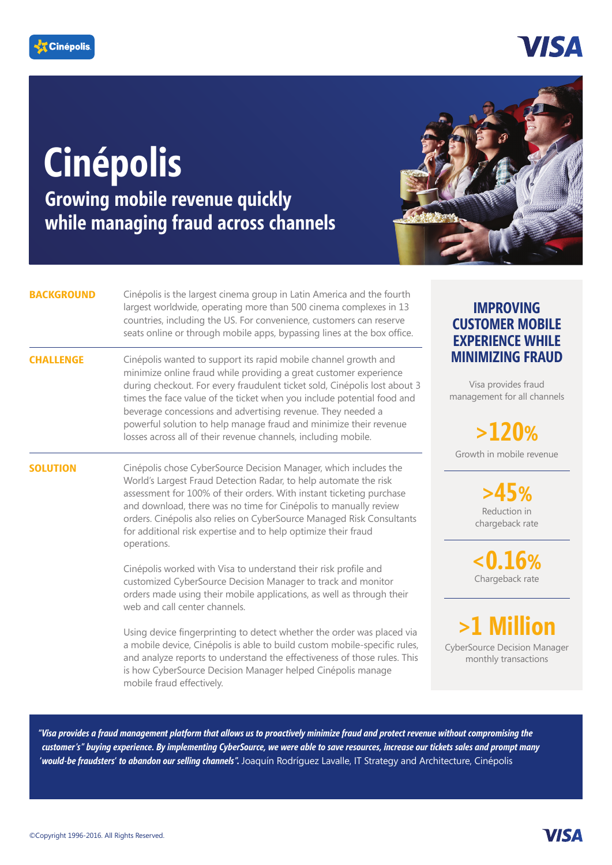

## 7IS A

# **Cinépolis**

**Growing mobile revenue quickly while managing fraud across channels** 



#### **BACKGROUND**

**SOLUTION**

Cinépolis is the largest cinema group in Latin America and the fourth largest worldwide, operating more than 500 cinema complexes in 13 countries, including the US. For convenience, customers can reserve seats online or through mobile apps, bypassing lines at the box office.

**CHALLENGE** Cinépolis wanted to support its rapid mobile channel growth and minimize online fraud while providing a great customer experience during checkout. For every fraudulent ticket sold, Cinépolis lost about 3 times the face value of the ticket when you include potential food and beverage concessions and advertising revenue. They needed a powerful solution to help manage fraud and minimize their revenue losses across all of their revenue channels, including mobile.

> Cinépolis chose CyberSource Decision Manager, which includes the World's Largest Fraud Detection Radar, to help automate the risk assessment for 100% of their orders. With instant ticketing purchase and download, there was no time for Cinépolis to manually review orders. Cinépolis also relies on CyberSource Managed Risk Consultants for additional risk expertise and to help optimize their fraud operations.

Cinépolis worked with Visa to understand their risk profile and customized CyberSource Decision Manager to track and monitor orders made using their mobile applications, as well as through their web and call center channels.

Using device fingerprinting to detect whether the order was placed via a mobile device, Cinépolis is able to build custom mobile-specific rules, and analyze reports to understand the effectiveness of those rules. This is how CyberSource Decision Manager helped Cinépolis manage mobile fraud effectively.

### **IMPROVING CUSTOMER MOBILE EXPERIENCE WHILE MINIMIZING FRAUD**

Visa provides fraud management for all channels

Growth in mobile revenue **>120%**

> **>45%** Reduction in chargeback rate

**<0.16%** Chargeback rate



CyberSource Decision Manager monthly transactions

*"Visa provides a fraud management platform that allows us to proactively minimize fraud and protect revenue without compromising the customer's" buying experience. By implementing CyberSource, we were able to save resources, increase our tickets sales and prompt many*  **'***would-be fraudsters***'** *to abandon our selling channels".* Joaquín Rodríguez Lavalle, IT Strategy and Architecture, Cinépolis